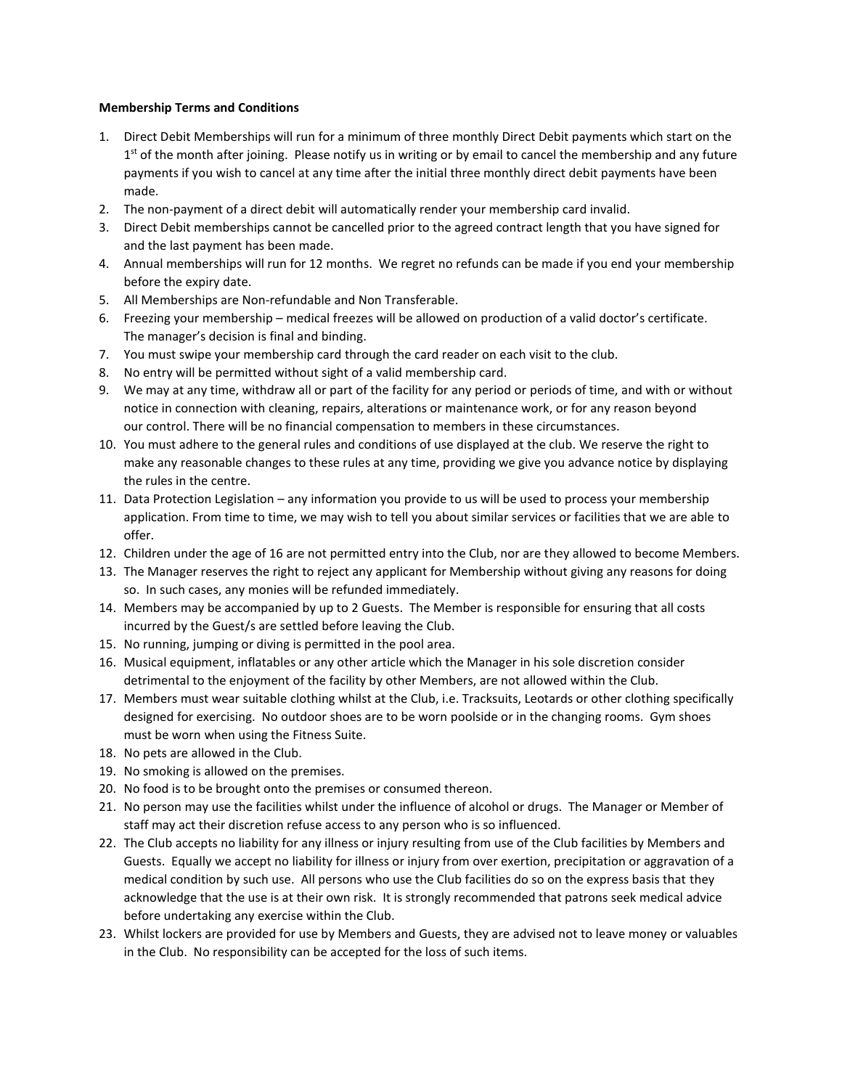## **Membership Terms and Conditions**

- 1. Direct Debit Memberships will run for a minimum of three monthly Direct Debit payments which start on the 1<sup>st</sup> of the month after joining. Please notify us in writing or by email to cancel the membership and any future payments if you wish to cancel at any time after the initial three monthly direct debit payments have been made.
- 2. The non-payment of a direct debit will automatically render your membership card invalid.
- 3. Direct Debit memberships cannot be cancelled prior to the agreed contract length that you have signed for and the last payment has been made.
- 4. Annual memberships will run for 12 months. We regret no refunds can be made if you end your membership before the expiry date.
- 5. All Memberships are Non-refundable and Non Transferable.
- 6. Freezing your membership medical freezes will be allowed on production of a valid doctor's certificate. The manager's decision is final and binding.
- 7. You must swipe your membership card through the card reader on each visit to the club.
- 8. No entry will be permitted without sight of a valid membership card.
- 9. We may at any time, withdraw all or part of the facility for any period or periods of time, and with or without notice in connection with cleaning, repairs, alterations or maintenance work, or for any reason beyond our control. There will be no financial compensation to members in these circumstances.
- 10. You must adhere to the general rules and conditions of use displayed at the club. We reserve the right to make any reasonable changes to these rules at any time, providing we give you advance notice by displaying the rules in the centre.
- 11. Data Protection Legislation any information you provide to us will be used to process your membership application. From time to time, we may wish to tell you about similar services or facilities that we are able to offer.
- 12. Children under the age of 16 are not permitted entry into the Club, nor are they allowed to become Members.
- 13. The Manager reserves the right to reject any applicant for Membership without giving any reasons for doing so. In such cases, any monies will be refunded immediately.
- 14. Members may be accompanied by up to 2 Guests. The Member is responsible for ensuring that all costs incurred by the Guest/s are settled before leaving the Club.
- 15. No running, jumping or diving is permitted in the pool area.
- 16. Musical equipment, inflatables or any other article which the Manager in his sole discretion consider detrimental to the enjoyment of the facility by other Members, are not allowed within the Club.
- 17. Members must wear suitable clothing whilst at the Club, i.e. Tracksuits, Leotards or other clothing specifically designed for exercising. No outdoor shoes are to be worn poolside or in the changing rooms. Gym shoes must be worn when using the Fitness Suite.
- 18. No pets are allowed in the Club.
- 19. No smoking is allowed on the premises.
- 20. No food is to be brought onto the premises or consumed thereon.
- 21. No person may use the facilities whilst under the influence of alcohol or drugs. The Manager or Member of staff may act their discretion refuse access to any person who is so influenced.
- 22. The Club accepts no liability for any illness or injury resulting from use of the Club facilities by Members and Guests. Equally we accept no liability for illness or injury from over exertion, precipitation or aggravation of a medical condition by such use. All persons who use the Club facilities do so on the express basis that they acknowledge that the use is at their own risk. It is strongly recommended that patrons seek medical advice before undertaking any exercise within the Club.
- 23. Whilst lockers are provided for use by Members and Guests, they are advised not to leave money or valuables in the Club. No responsibility can be accepted for the loss of such items.